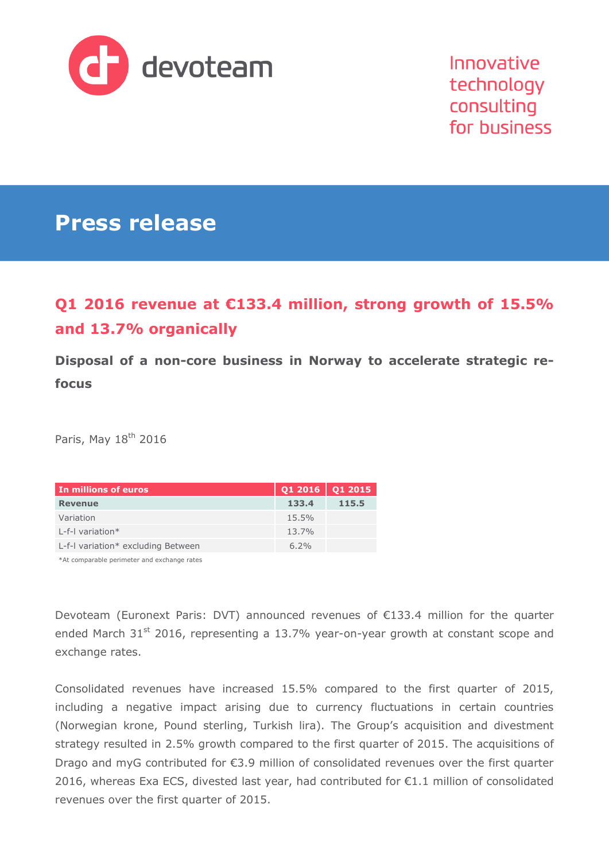

Innovative technology consulting for business

# **Press release**

## **Q1 2016 revenue at €133.4 million, strong growth of 15.5% and 13.7% organically**

**Disposal of a non-core business in Norway to accelerate strategic refocus**

Paris, May 18<sup>th</sup> 2016

| In millions of euros               | $Q12016$ Q1 2015 |       |
|------------------------------------|------------------|-------|
| <b>Revenue</b>                     | 133.4            | 115.5 |
| Variation                          | 15.5%            |       |
| L-f-I variation $*$                | 13.7%            |       |
| L-f-I variation* excluding Between | 6.2%             |       |

\*At comparable perimeter and exchange rates

Devoteam (Euronext Paris: DVT) announced revenues of €133.4 million for the quarter ended March 31<sup>st</sup> 2016, representing a 13.7% year-on-year growth at constant scope and exchange rates.

Consolidated revenues have increased 15.5% compared to the first quarter of 2015, including a negative impact arising due to currency fluctuations in certain countries (Norwegian krone, Pound sterling, Turkish lira). The Group's acquisition and divestment strategy resulted in 2.5% growth compared to the first quarter of 2015. The acquisitions of Drago and myG contributed for €3.9 million of consolidated revenues over the first quarter 2016, whereas Exa ECS, divested last year, had contributed for €1.1 million of consolidated revenues over the first quarter of 2015.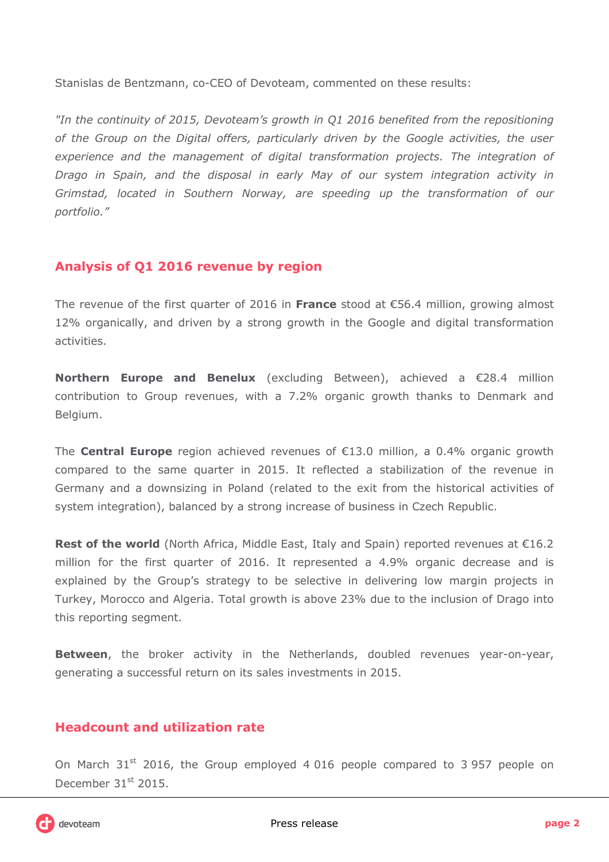Stanislas de Bentzmann, co-CEO of Devoteam, commented on these results:

*"In the continuity of 2015, Devoteam's growth in Q1 2016 benefited from the repositioning of the Group on the Digital offers, particularly driven by the Google activities, the user experience and the management of digital transformation projects. The integration of Drago in Spain, and the disposal in early May of our system integration activity in Grimstad, located in Southern Norway, are speeding up the transformation of our portfolio."*

## **Analysis of Q1 2016 revenue by region**

The revenue of the first quarter of 2016 in **France** stood at €56.4 million, growing almost 12% organically, and driven by a strong growth in the Google and digital transformation activities.

**Northern Europe and Benelux** (excluding Between), achieved a €28.4 million contribution to Group revenues, with a 7.2% organic growth thanks to Denmark and Belgium.

The **Central Europe** region achieved revenues of €13.0 million, a 0.4% organic growth compared to the same quarter in 2015. It reflected a stabilization of the revenue in Germany and a downsizing in Poland (related to the exit from the historical activities of system integration), balanced by a strong increase of business in Czech Republic.

**Rest of the world** (North Africa, Middle East, Italy and Spain) reported revenues at €16.2 million for the first quarter of 2016. It represented a 4.9% organic decrease and is explained by the Group's strategy to be selective in delivering low margin projects in Turkey, Morocco and Algeria. Total growth is above 23% due to the inclusion of Drago into this reporting segment.

**Between**, the broker activity in the Netherlands, doubled revenues year-on-year, generating a successful return on its sales investments in 2015.

## **Headcount and utilization rate**

On March  $31<sup>st</sup>$  2016, the Group employed 4 016 people compared to 3 957 people on December 31<sup>st</sup> 2015.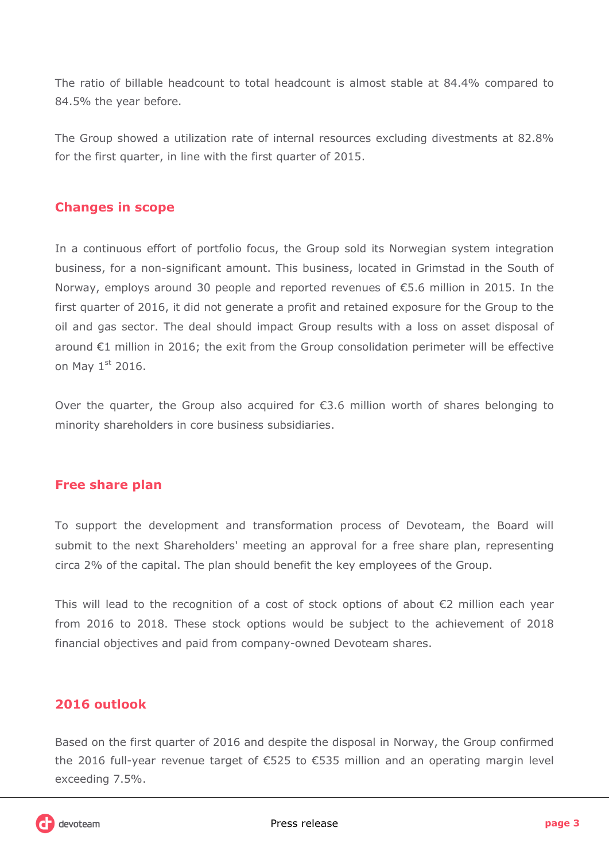The ratio of billable headcount to total headcount is almost stable at 84.4% compared to 84.5% the year before.

The Group showed a utilization rate of internal resources excluding divestments at 82.8% for the first quarter, in line with the first quarter of 2015.

## **Changes in scope**

In a continuous effort of portfolio focus, the Group sold its Norwegian system integration business, for a non-significant amount. This business, located in Grimstad in the South of Norway, employs around 30 people and reported revenues of €5.6 million in 2015. In the first quarter of 2016, it did not generate a profit and retained exposure for the Group to the oil and gas sector. The deal should impact Group results with a loss on asset disposal of around €1 million in 2016; the exit from the Group consolidation perimeter will be effective on May  $1<sup>st</sup>$  2016.

Over the quarter, the Group also acquired for  $\epsilon$ 3.6 million worth of shares belonging to minority shareholders in core business subsidiaries.

## **Free share plan**

To support the development and transformation process of Devoteam, the Board will submit to the next Shareholders' meeting an approval for a free share plan, representing circa 2% of the capital. The plan should benefit the key employees of the Group.

This will lead to the recognition of a cost of stock options of about €2 million each year from 2016 to 2018. These stock options would be subject to the achievement of 2018 financial objectives and paid from company-owned Devoteam shares.

## **2016 outlook**

Based on the first quarter of 2016 and despite the disposal in Norway, the Group confirmed the 2016 full-year revenue target of €525 to €535 million and an operating margin level exceeding 7.5%.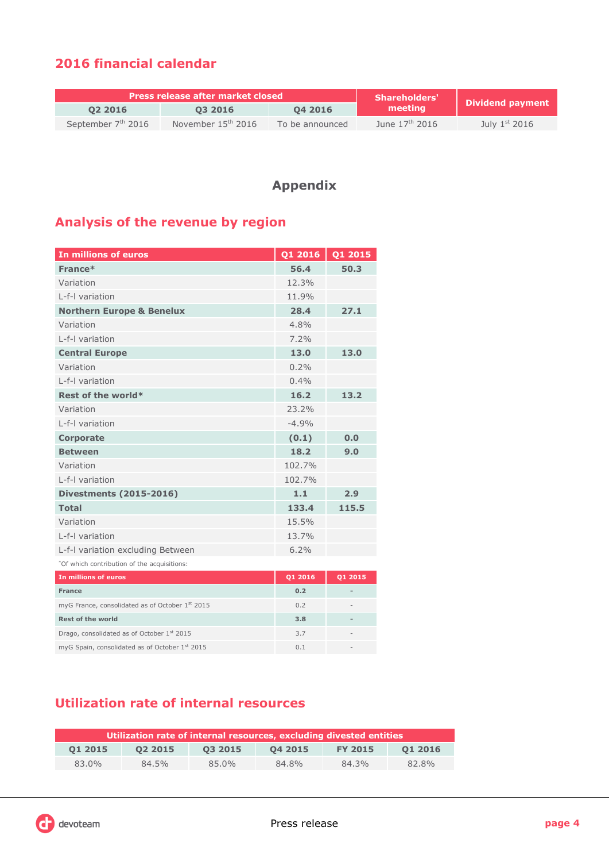## **2016 financial calendar**

| <b>Press release after market closed</b> |                      |                 | <b>Shareholders'</b>       |                  |  |
|------------------------------------------|----------------------|-----------------|----------------------------|------------------|--|
| 02 2016                                  | 03 2016              | 04 2016         | meeting                    | Dividend payment |  |
| September 7 <sup>th</sup> 2016           | November $15th$ 2016 | To be announced | June $17^{\text{th}}$ 2016 | July $1st$ 2016  |  |

## **Appendix**

## **Analysis of the revenue by region**

| In millions of euros                        | Q1 2016 | Q1 2015        |
|---------------------------------------------|---------|----------------|
| France*                                     | 56.4    | 50.3           |
| Variation                                   | 12.3%   |                |
| L-f-I variation                             | 11.9%   |                |
| <b>Northern Europe &amp; Benelux</b>        | 28.4    | 27.1           |
| Variation                                   | 4.8%    |                |
| I-f-I variation                             | 7.2%    |                |
| <b>Central Europe</b>                       | 13.0    | 13.0           |
| Variation                                   | 0.2%    |                |
| I-f-I variation                             | 0.4%    |                |
| Rest of the world*                          | 16.2    | 13.2           |
| Variation                                   | 23.2%   |                |
| I-f-I variation                             | $-4.9%$ |                |
| <b>Corporate</b>                            | (0.1)   | 0.0            |
| <b>Between</b>                              | 18.2    | 9.0            |
| Variation                                   | 102.7%  |                |
| L-f-I variation                             | 102.7%  |                |
| <b>Divestments (2015-2016)</b>              | 1.1     | 2.9            |
| <b>Total</b>                                | 133.4   | 115.5          |
| Variation                                   | 15.5%   |                |
| L-f-I variation                             | 13.7%   |                |
| L-f-I variation excluding Between           | 6.2%    |                |
| *Of which contribution of the acquisitions: |         |                |
| In millions of euros                        | Q1 2016 | Q1 2015        |
| <b>France</b>                               | 0.2     | $\overline{a}$ |

|                                                        |     | _______ |
|--------------------------------------------------------|-----|---------|
| <b>France</b>                                          | 0.2 |         |
| myG France, consolidated as of October 1st 2015        | 0.2 |         |
| <b>Rest of the world</b>                               | 3.8 |         |
| Drago, consolidated as of October 1 <sup>st</sup> 2015 | 3.7 | -       |
| myG Spain, consolidated as of October 1st 2015         | 0.1 |         |

## **Utilization rate of internal resources**

| Utilization rate of internal resources, excluding divested entities |         |         |         |                |         |
|---------------------------------------------------------------------|---------|---------|---------|----------------|---------|
| 01 2015                                                             | 02 2015 | 03 2015 | 04 2015 | <b>FY 2015</b> | 01 2016 |
| 83.0%                                                               | 84.5%   | 85.0%   | 84.8%   | 84.3%          | 82.8%   |

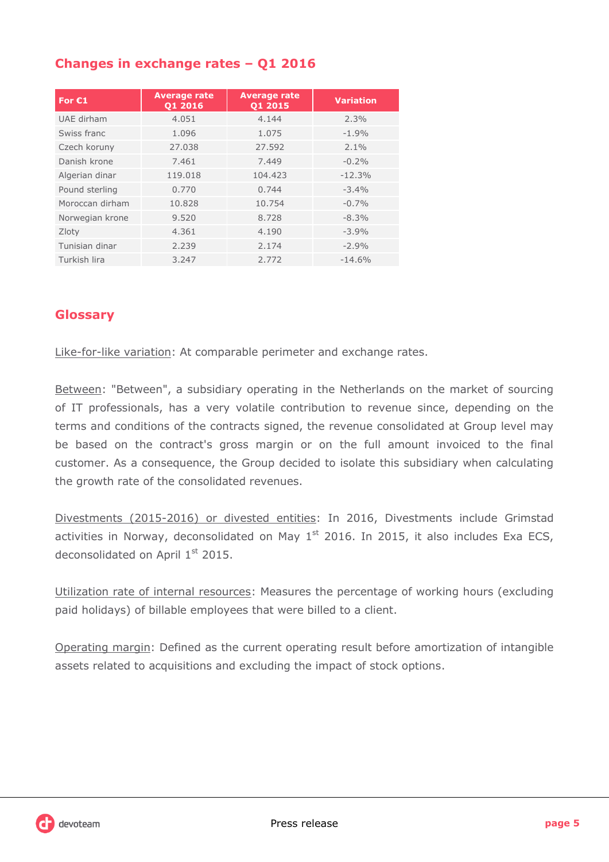## **Changes in exchange rates – Q1 2016**

| For $E1$        | <b>Average rate</b><br>01 2016 | <b>Average rate</b><br>Q1 2015 | <b>Variation</b> |
|-----------------|--------------------------------|--------------------------------|------------------|
| UAE dirham      | 4.051                          | 4.144                          | 2.3%             |
| Swiss franc     | 1.096                          | 1.075                          | $-1.9%$          |
| Czech koruny    | 27.038                         | 27.592                         | $2.1\%$          |
| Danish krone    | 7.461                          | 7.449                          | $-0.2%$          |
| Algerian dinar  | 119.018                        | 104.423                        | $-12.3%$         |
| Pound sterling  | 0.770                          | 0.744                          | $-3.4%$          |
| Moroccan dirham | 10.828                         | 10.754                         | $-0.7\%$         |
| Norwegian krone | 9.520                          | 8.728                          | $-8.3%$          |
| Zloty           | 4.361                          | 4.190                          | $-3.9%$          |
| Tunisian dinar  | 2.239                          | 2.174                          | $-2.9%$          |
| Turkish lira    | 3.247                          | 2.772                          | $-14.6%$         |

## **Glossary**

Like-for-like variation: At comparable perimeter and exchange rates.

Between: "Between", a subsidiary operating in the Netherlands on the market of sourcing of IT professionals, has a very volatile contribution to revenue since, depending on the terms and conditions of the contracts signed, the revenue consolidated at Group level may be based on the contract's gross margin or on the full amount invoiced to the final customer. As a consequence, the Group decided to isolate this subsidiary when calculating the growth rate of the consolidated revenues.

Divestments (2015-2016) or divested entities: In 2016, Divestments include Grimstad activities in Norway, deconsolidated on May  $1<sup>st</sup>$  2016. In 2015, it also includes Exa ECS, deconsolidated on April 1<sup>st</sup> 2015.

Utilization rate of internal resources: Measures the percentage of working hours (excluding paid holidays) of billable employees that were billed to a client.

Operating margin: Defined as the current operating result before amortization of intangible assets related to acquisitions and excluding the impact of stock options.